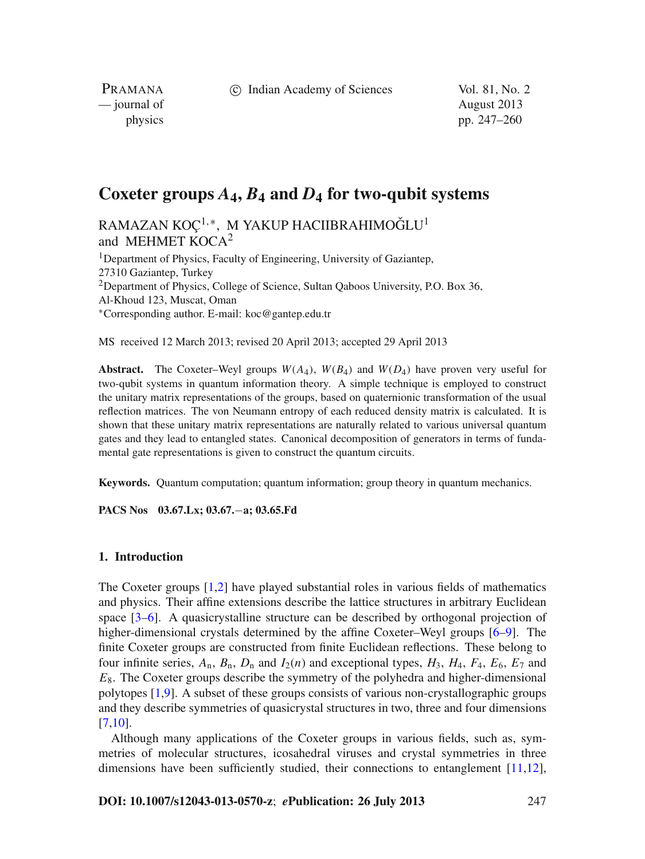c Indian Academy of Sciences Vol. 81, No. 2

PRAMANA — journal of August 2013

physics pp. 247–260

# **Coxeter groups** *A***4,** *B***<sup>4</sup> and** *D***<sup>4</sup> for two-qubit systems**

RAMAZAN KOÇ<sup>1,\*</sup>, M YAKUP HACIIBRAHIMOĞLU<sup>1</sup> and MEHMET KOCA<sup>2</sup>

<sup>1</sup>Department of Physics, Faculty of Engineering, University of Gaziantep, 27310 Gaziantep, Turkey <sup>2</sup>Department of Physics, College of Science, Sultan Qaboos University, P.O. Box 36, Al-Khoud 123, Muscat, Oman <sup>∗</sup>Corresponding author. E-mail: koc@gantep.edu.tr

MS received 12 March 2013; revised 20 April 2013; accepted 29 April 2013

**Abstract.** The Coxeter–Weyl groups  $W(A_4)$ ,  $W(B_4)$  and  $W(D_4)$  have proven very useful for two-qubit systems in quantum information theory. A simple technique is employed to construct the unitary matrix representations of the groups, based on quaternionic transformation of the usual reflection matrices. The von Neumann entropy of each reduced density matrix is calculated. It is shown that these unitary matrix representations are naturally related to various universal quantum gates and they lead to entangled states. Canonical decomposition of generators in terms of fundamental gate representations is given to construct the quantum circuits.

**Keywords.** Quantum computation; quantum information; group theory in quantum mechanics.

**PACS Nos 03.67.Lx; 03.67.**−**a; 03.65.Fd**

## **1. Introduction**

The Coxeter groups [\[1](#page-12-0)[,2](#page-12-1)] have played substantial roles in various fields of mathematics and physics. Their affine extensions describe the lattice structures in arbitrary Euclidean space [\[3](#page-12-2)[–6\]](#page-12-3). A quasicrystalline structure can be described by orthogonal projection of higher-dimensional crystals determined by the affine Coxeter–Weyl groups [\[6](#page-12-3)[–9\]](#page-12-4). The finite Coxeter groups are constructed from finite Euclidean reflections. These belong to four infinite series,  $A_n$ ,  $B_n$ ,  $D_n$  and  $I_2(n)$  and exceptional types,  $H_3$ ,  $H_4$ ,  $F_4$ ,  $E_6$ ,  $E_7$  and *E*8. The Coxeter groups describe the symmetry of the polyhedra and higher-dimensional polytopes [\[1](#page-12-0)[,9\]](#page-12-4). A subset of these groups consists of various non-crystallographic groups and they describe symmetries of quasicrystal structures in two, three and four dimensions [\[7](#page-12-5)[,10\]](#page-12-6).

Although many applications of the Coxeter groups in various fields, such as, symmetries of molecular structures, icosahedral viruses and crystal symmetries in three dimensions have been sufficiently studied, their connections to entanglement  $[11,12]$  $[11,12]$  $[11,12]$ ,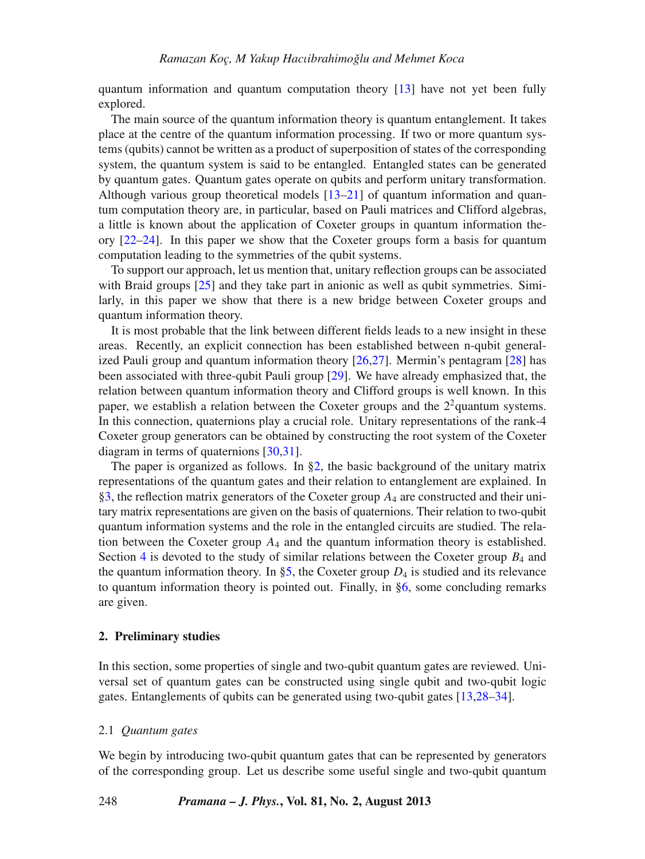quantum information and quantum computation theory [\[13](#page-12-9)] have not yet been fully explored.

The main source of the quantum information theory is quantum entanglement. It takes place at the centre of the quantum information processing. If two or more quantum systems (qubits) cannot be written as a product of superposition of states of the corresponding system, the quantum system is said to be entangled. Entangled states can be generated by quantum gates. Quantum gates operate on qubits and perform unitary transformation. Although various group theoretical models  $[13–21]$  $[13–21]$  $[13–21]$  of quantum information and quantum computation theory are, in particular, based on Pauli matrices and Clifford algebras, a little is known about the application of Coxeter groups in quantum information theory [\[22](#page-13-1)[–24\]](#page-13-2). In this paper we show that the Coxeter groups form a basis for quantum computation leading to the symmetries of the qubit systems.

To support our approach, let us mention that, unitary reflection groups can be associated with Braid groups [\[25](#page-13-3)] and they take part in anionic as well as qubit symmetries. Similarly, in this paper we show that there is a new bridge between Coxeter groups and quantum information theory.

It is most probable that the link between different fields leads to a new insight in these areas. Recently, an explicit connection has been established between n-qubit generalized Pauli group and quantum information theory [\[26](#page-13-4)[,27](#page-13-5)]. Mermin's pentagram [\[28](#page-13-6)] has been associated with three-qubit Pauli group [\[29](#page-13-7)]. We have already emphasized that, the relation between quantum information theory and Clifford groups is well known. In this paper, we establish a relation between the Coxeter groups and the 22quantum systems. In this connection, quaternions play a crucial role. Unitary representations of the rank-4 Coxeter group generators can be obtained by constructing the root system of the Coxeter diagram in terms of quaternions [\[30](#page-13-8)[,31](#page-13-9)].

The paper is organized as follows. In  $\S2$ , the basic background of the unitary matrix representations of the quantum gates and their relation to entanglement are explained. In [§3,](#page-4-0) the reflection matrix generators of the Coxeter group *A*<sup>4</sup> are constructed and their unitary matrix representations are given on the basis of quaternions. Their relation to two-qubit quantum information systems and the role in the entangled circuits are studied. The relation between the Coxeter group  $A_4$  and the quantum information theory is established. Section [4](#page-8-0) is devoted to the study of similar relations between the Coxeter group  $B_4$  and the quantum information theory. In [§5,](#page-10-0) the Coxeter group  $D_4$  is studied and its relevance to quantum information theory is pointed out. Finally, in  $\S6$ , some concluding remarks are given.

## <span id="page-1-0"></span>**2. Preliminary studies**

In this section, some properties of single and two-qubit quantum gates are reviewed. Universal set of quantum gates can be constructed using single qubit and two-qubit logic gates. Entanglements of qubits can be generated using two-qubit gates [\[13](#page-12-9)[,28](#page-13-6)[–34\]](#page-13-10).

#### 2.1 *Quantum gates*

We begin by introducing two-qubit quantum gates that can be represented by generators of the corresponding group. Let us describe some useful single and two-qubit quantum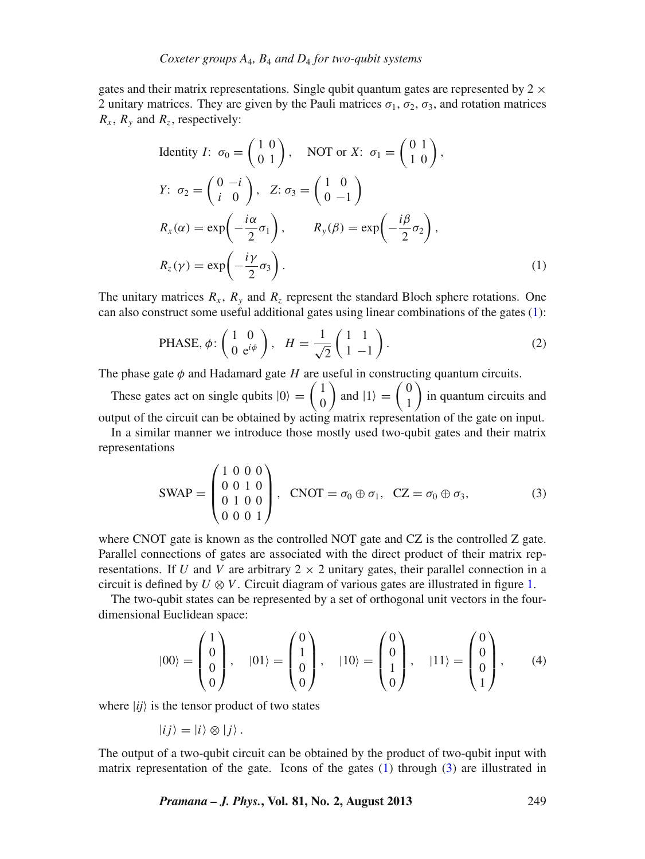gates and their matrix representations. Single qubit quantum gates are represented by  $2 \times$ 2 unitary matrices. They are given by the Pauli matrices  $\sigma_1$ ,  $\sigma_2$ ,  $\sigma_3$ , and rotation matrices  $R_x$ ,  $R_y$  and  $R_z$ , respectively:

<span id="page-2-0"></span>Identity *I*: 
$$
\sigma_0 = \begin{pmatrix} 1 & 0 \\ 0 & 1 \end{pmatrix}
$$
, NOT or *X*:  $\sigma_1 = \begin{pmatrix} 0 & 1 \\ 1 & 0 \end{pmatrix}$ ,  
\n*Y*:  $\sigma_2 = \begin{pmatrix} 0 & -i \\ i & 0 \end{pmatrix}$ , *Z*:  $\sigma_3 = \begin{pmatrix} 1 & 0 \\ 0 & -1 \end{pmatrix}$   
\n*R\_x(\alpha) = \exp\left(-\frac{i\alpha}{2}\sigma\_1\right)*, *R\_y(\beta) = \exp\left(-\frac{i\beta}{2}\sigma\_2\right)*,  
\n*R\_z(\gamma) = \exp\left(-\frac{i\gamma}{2}\sigma\_3\right)*. (1)

The unitary matrices  $R_x$ ,  $R_y$  and  $R_z$  represent the standard Bloch sphere rotations. One can also construct some useful additional gates using linear combinations of the gates [\(1\)](#page-2-0):

<span id="page-2-2"></span>PHASE, 
$$
\phi
$$
:  $\begin{pmatrix} 1 & 0 \\ 0 & e^{i\phi} \end{pmatrix}$ ,  $H = \frac{1}{\sqrt{2}} \begin{pmatrix} 1 & 1 \\ 1 & -1 \end{pmatrix}$ . (2)

The phase gate  $\phi$  and Hadamard gate *H* are useful in constructing quantum circuits.

These gates act on single qubits  $|0\rangle = \begin{pmatrix} 1 \\ 0 \end{pmatrix}$  $\boldsymbol{0}$ ) and  $|1\rangle = \begin{pmatrix} 0 \\ 1 \end{pmatrix}$ 1 ) in quantum circuits and output of the circuit can be obtained by acting matrix representation of the gate on input.

In a similar manner we introduce those mostly used two-qubit gates and their matrix representations

<span id="page-2-1"></span>
$$
SWAP = \begin{pmatrix} 1 & 0 & 0 & 0 \\ 0 & 0 & 1 & 0 \\ 0 & 1 & 0 & 0 \\ 0 & 0 & 0 & 1 \end{pmatrix}, \quad \text{CNOT} = \sigma_0 \oplus \sigma_1, \quad \text{CZ} = \sigma_0 \oplus \sigma_3,
$$
 (3)

where CNOT gate is known as the controlled NOT gate and CZ is the controlled Z gate. Parallel connections of gates are associated with the direct product of their matrix representations. If *U* and *V* are arbitrary  $2 \times 2$  unitary gates, their parallel connection in a circuit is defined by  $U \otimes V$ . Circuit diagram of various gates are illustrated in figure [1.](#page-3-0)

The two-qubit states can be represented by a set of orthogonal unit vectors in the fourdimensional Euclidean space:

$$
|00\rangle = \begin{pmatrix} 1 \\ 0 \\ 0 \\ 0 \end{pmatrix}, \quad |01\rangle = \begin{pmatrix} 0 \\ 1 \\ 0 \\ 0 \end{pmatrix}, \quad |10\rangle = \begin{pmatrix} 0 \\ 0 \\ 1 \\ 0 \end{pmatrix}, \quad |11\rangle = \begin{pmatrix} 0 \\ 0 \\ 0 \\ 1 \end{pmatrix}, \quad (4)
$$

where  $|ij\rangle$  is the tensor product of two states

$$
|ij\rangle = |i\rangle \otimes |j\rangle.
$$

The output of a two-qubit circuit can be obtained by the product of two-qubit input with matrix representation of the gate. Icons of the gates  $(1)$  through  $(3)$  are illustrated in

*Pramana – J. Phys.***, Vol. 81, No. 2, August 2013** 249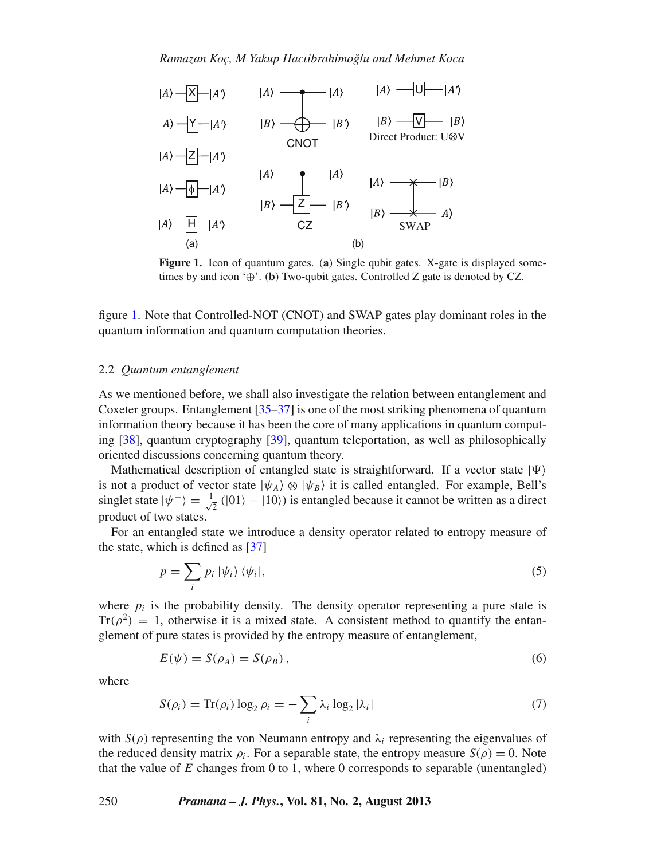*Ramazan Koç, M Yakup Hac*ι*ibrahimoglu and Mehmet Koca ˇ*

<span id="page-3-0"></span>

**Figure 1.** Icon of quantum gates. (**a**) Single qubit gates. X-gate is displayed sometimes by and icon '⊕'. (**b**) Two-qubit gates. Controlled Z gate is denoted by CZ.

figure [1.](#page-3-0) Note that Controlled-NOT (CNOT) and SWAP gates play dominant roles in the quantum information and quantum computation theories.

## 2.2 *Quantum entanglement*

As we mentioned before, we shall also investigate the relation between entanglement and Coxeter groups. Entanglement [\[35](#page-13-11)[–37\]](#page-13-12) is one of the most striking phenomena of quantum information theory because it has been the core of many applications in quantum computing [\[38](#page-13-13)], quantum cryptography [\[39\]](#page-13-14), quantum teleportation, as well as philosophically oriented discussions concerning quantum theory.

Mathematical description of entangled state is straightforward. If a vector state  $|\Psi\rangle$ is not a product of vector state  $|\psi_A\rangle \otimes |\psi_B\rangle$  it is called entangled. For example, Bell's singlet state  $|\psi^{-}\rangle = \frac{1}{\sqrt{2}} (|01\rangle - |10\rangle)$  is entangled because it cannot be written as a direct product of two states.

For an entangled state we introduce a density operator related to entropy measure of the state, which is defined as [\[37\]](#page-13-12)

<span id="page-3-1"></span>
$$
p = \sum_{i} p_i \, |\psi_i\rangle \, \langle \psi_i|,\tag{5}
$$

where  $p_i$  is the probability density. The density operator representing a pure state is  $Tr(\rho^2) = 1$ , otherwise it is a mixed state. A consistent method to quantify the entanglement of pure states is provided by the entropy measure of entanglement,

$$
E(\psi) = S(\rho_A) = S(\rho_B), \qquad (6)
$$

<span id="page-3-2"></span>where

$$
S(\rho_i) = \text{Tr}(\rho_i) \log_2 \rho_i = -\sum_i \lambda_i \log_2 |\lambda_i| \tag{7}
$$

with  $S(\rho)$  representing the von Neumann entropy and  $\lambda_i$  representing the eigenvalues of the reduced density matrix  $\rho_i$ . For a separable state, the entropy measure  $S(\rho) = 0$ . Note that the value of *E* changes from 0 to 1, where 0 corresponds to separable (unentangled)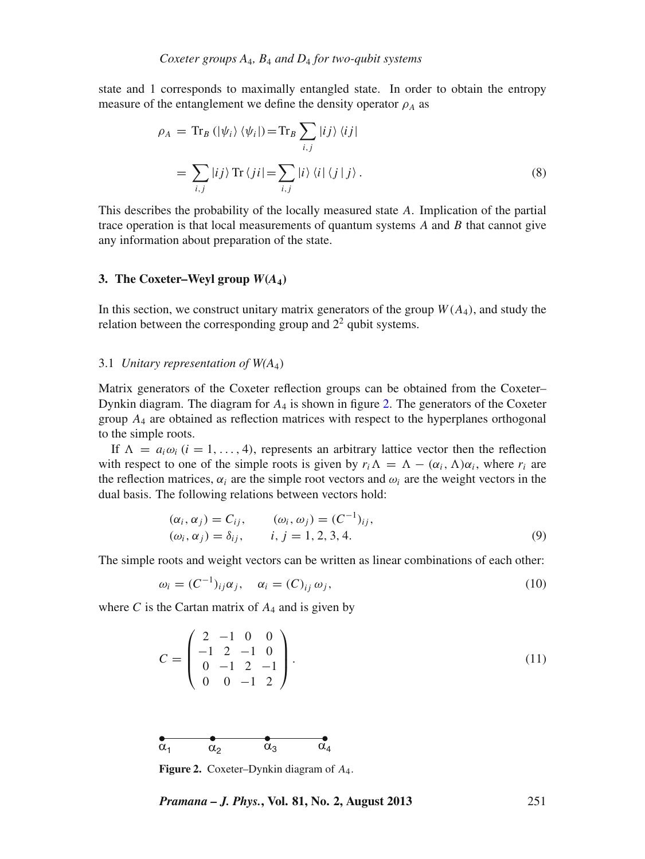state and 1 corresponds to maximally entangled state. In order to obtain the entropy measure of the entanglement we define the density operator  $\rho_A$  as

<span id="page-4-3"></span>
$$
\rho_A = \text{Tr}_B \left( |\psi_i\rangle \langle \psi_i| \right) = \text{Tr}_B \sum_{i,j} |ij\rangle \langle ij| \n= \sum_{i,j} |ij\rangle \text{Tr} \left\langle ji \right| = \sum_{i,j} |i\rangle \langle i| \left\langle j \right| j \rangle.
$$
\n(8)

This describes the probability of the locally measured state *A*. Implication of the partial trace operation is that local measurements of quantum systems *A* and *B* that cannot give any information about preparation of the state.

## <span id="page-4-0"></span>**3. The Coxeter–Weyl group**  $W(A_4)$

In this section, we construct unitary matrix generators of the group  $W(A_4)$ , and study the relation between the corresponding group and  $2<sup>2</sup>$  qubit systems.

#### 3.1 *Unitary representation of W(A*4)

Matrix generators of the Coxeter reflection groups can be obtained from the Coxeter– Dynkin diagram. The diagram for *A*<sup>4</sup> is shown in figure [2.](#page-4-1) The generators of the Coxeter group *A*<sup>4</sup> are obtained as reflection matrices with respect to the hyperplanes orthogonal to the simple roots.

If  $\Lambda = a_i \omega_i$  (*i* = 1, ..., 4), represents an arbitrary lattice vector then the reflection with respect to one of the simple roots is given by  $r_i \Lambda = \Lambda - (\alpha_i, \Lambda) \alpha_i$ , where  $r_i$  are the reflection matrices,  $\alpha_i$  are the simple root vectors and  $\omega_i$  are the weight vectors in the dual basis. The following relations between vectors hold:

$$
(\alpha_i, \alpha_j) = C_{ij}, \qquad (\omega_i, \omega_j) = (C^{-1})_{ij}, (\omega_i, \alpha_j) = \delta_{ij}, \qquad i, j = 1, 2, 3, 4.
$$
 (9)

The simple roots and weight vectors can be written as linear combinations of each other:

<span id="page-4-2"></span>
$$
\omega_i = (C^{-1})_{ij}\alpha_j, \quad \alpha_i = (C)_{ij}\omega_j,
$$
\n
$$
(10)
$$

where  $C$  is the Cartan matrix of  $A_4$  and is given by

$$
C = \begin{pmatrix} 2 & -1 & 0 & 0 \\ -1 & 2 & -1 & 0 \\ 0 & -1 & 2 & -1 \\ 0 & 0 & -1 & 2 \end{pmatrix}.
$$
 (11)

<span id="page-4-1"></span>

**Figure 2.** Coxeter–Dynkin diagram of *A*4.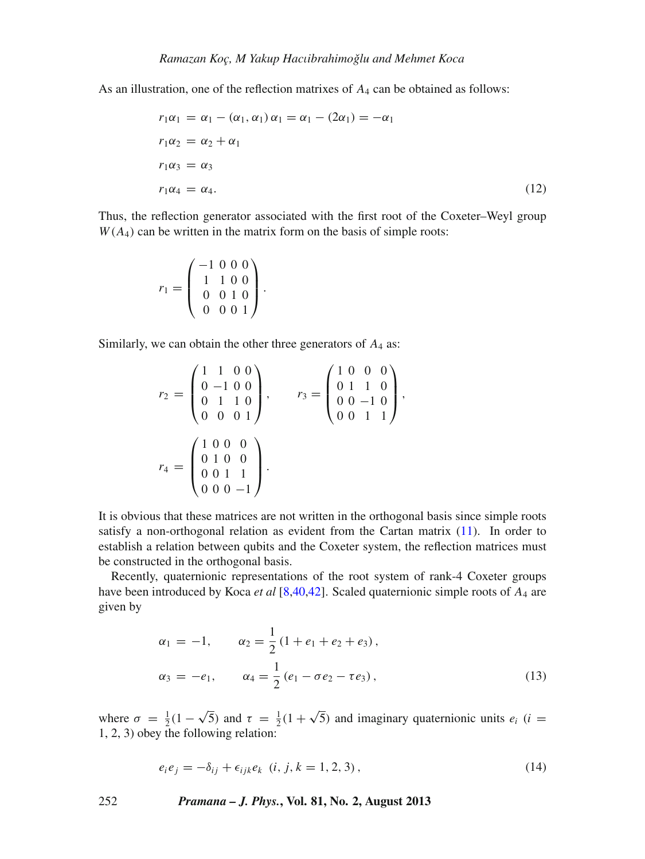As an illustration, one of the reflection matrixes of *A*<sup>4</sup> can be obtained as follows:

$$
r_1\alpha_1 = \alpha_1 - (\alpha_1, \alpha_1)\alpha_1 = \alpha_1 - (2\alpha_1) = -\alpha_1
$$
  
\n
$$
r_1\alpha_2 = \alpha_2 + \alpha_1
$$
  
\n
$$
r_1\alpha_3 = \alpha_3
$$
  
\n
$$
r_1\alpha_4 = \alpha_4.
$$
\n(12)

Thus, the reflection generator associated with the first root of the Coxeter–Weyl group  $W(A_4)$  can be written in the matrix form on the basis of simple roots:

$$
r_1 = \left(\begin{array}{rrr} -1 & 0 & 0 & 0 \\ 1 & 1 & 0 & 0 \\ 0 & 0 & 1 & 0 \\ 0 & 0 & 0 & 1 \end{array}\right).
$$

Similarly, we can obtain the other three generators of *A*<sup>4</sup> as:

$$
r_2 = \begin{pmatrix} 1 & 1 & 0 & 0 \\ 0 & -1 & 0 & 0 \\ 0 & 1 & 1 & 0 \\ 0 & 0 & 0 & 1 \end{pmatrix}, \qquad r_3 = \begin{pmatrix} 1 & 0 & 0 & 0 \\ 0 & 1 & 1 & 0 \\ 0 & 0 & -1 & 0 \\ 0 & 0 & 1 & 1 \end{pmatrix},
$$

$$
r_4 = \begin{pmatrix} 1 & 0 & 0 & 0 \\ 0 & 1 & 0 & 0 \\ 0 & 0 & 1 & 1 \\ 0 & 0 & 0 & -1 \end{pmatrix}.
$$

It is obvious that these matrices are not written in the orthogonal basis since simple roots satisfy a non-orthogonal relation as evident from the Cartan matrix [\(11\)](#page-4-2). In order to establish a relation between qubits and the Coxeter system, the reflection matrices must be constructed in the orthogonal basis.

Recently, quaternionic representations of the root system of rank-4 Coxeter groups have been introduced by Koca *et al* [\[8](#page-12-10)[,40](#page-13-15)[,42\]](#page-13-16). Scaled quaternionic simple roots of *A*<sup>4</sup> are given by

<span id="page-5-0"></span>
$$
\alpha_1 = -1, \qquad \alpha_2 = \frac{1}{2} (1 + e_1 + e_2 + e_3),
$$
  
\n
$$
\alpha_3 = -e_1, \qquad \alpha_4 = \frac{1}{2} (e_1 - \sigma e_2 - \tau e_3),
$$
\n(13)

where  $\sigma = \frac{1}{2}(1 - \sqrt{5})$  and  $\tau = \frac{1}{2}(1 + \sqrt{5})$  and imaginary quaternionic units  $e_i$  (*i* = 1, 2, 3) obey the following relation:

$$
e_i e_j = -\delta_{ij} + \epsilon_{ijk} e_k \ (i, j, k = 1, 2, 3), \tag{14}
$$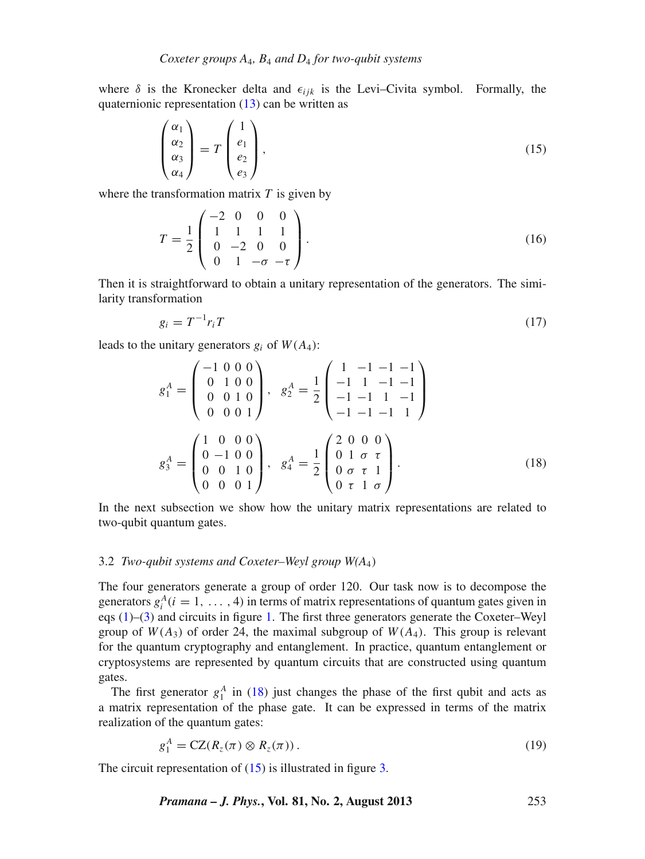where  $\delta$  is the Kronecker delta and  $\epsilon_{ijk}$  is the Levi–Civita symbol. Formally, the quaternionic representation  $(13)$  can be written as

<span id="page-6-1"></span>
$$
\begin{pmatrix} \alpha_1 \\ \alpha_2 \\ \alpha_3 \\ \alpha_4 \end{pmatrix} = T \begin{pmatrix} 1 \\ e_1 \\ e_2 \\ e_3 \end{pmatrix}, \tag{15}
$$

where the transformation matrix *T* is given by

$$
T = \frac{1}{2} \begin{pmatrix} -2 & 0 & 0 & 0 \\ 1 & 1 & 1 & 1 \\ 0 & -2 & 0 & 0 \\ 0 & 1 & -\sigma & -\tau \end{pmatrix} . \tag{16}
$$

Then it is straightforward to obtain a unitary representation of the generators. The similarity transformation

$$
g_i = T^{-1} r_i T \tag{17}
$$

leads to the unitary generators  $g_i$  of  $W(A_4)$ :

<span id="page-6-0"></span>
$$
g_1^A = \begin{pmatrix} -1 & 0 & 0 & 0 \\ 0 & 1 & 0 & 0 \\ 0 & 0 & 1 & 0 \\ 0 & 0 & 0 & 1 \end{pmatrix}, \quad g_2^A = \frac{1}{2} \begin{pmatrix} 1 & -1 & -1 & -1 \\ -1 & 1 & -1 & -1 \\ -1 & -1 & 1 & -1 \\ -1 & -1 & -1 & 1 \end{pmatrix}
$$

$$
g_3^A = \begin{pmatrix} 1 & 0 & 0 & 0 \\ 0 & -1 & 0 & 0 \\ 0 & 0 & 1 & 0 \\ 0 & 0 & 0 & 1 \end{pmatrix}, \quad g_4^A = \frac{1}{2} \begin{pmatrix} 2 & 0 & 0 & 0 \\ 0 & 1 & \sigma & \tau \\ 0 & \sigma & \tau & 1 \\ 0 & \tau & 1 & \sigma \end{pmatrix}.
$$
(18)

In the next subsection we show how the unitary matrix representations are related to two-qubit quantum gates.

## 3.2 *Two-qubit systems and Coxeter–Weyl group W(A*4)

The four generators generate a group of order 120. Our task now is to decompose the generators  $g_i^A(i = 1, \ldots, 4)$  in terms of matrix representations of quantum gates given in eqs [\(1\)](#page-2-0)–[\(3\)](#page-2-1) and circuits in figure [1.](#page-3-0) The first three generators generate the Coxeter–Weyl group of  $W(A_3)$  of order 24, the maximal subgroup of  $W(A_4)$ . This group is relevant for the quantum cryptography and entanglement. In practice, quantum entanglement or cryptosystems are represented by quantum circuits that are constructed using quantum gates.

The first generator  $g_1^A$  in [\(18\)](#page-6-0) just changes the phase of the first qubit and acts as a matrix representation of the phase gate. It can be expressed in terms of the matrix realization of the quantum gates:

$$
g_1^A = \mathbf{CZ}(R_z(\pi) \otimes R_z(\pi)). \tag{19}
$$

The circuit representation of  $(15)$  is illustrated in figure [3.](#page-7-0)

*Pramana – J. Phys.***, Vol. 81, No. 2, August 2013** 253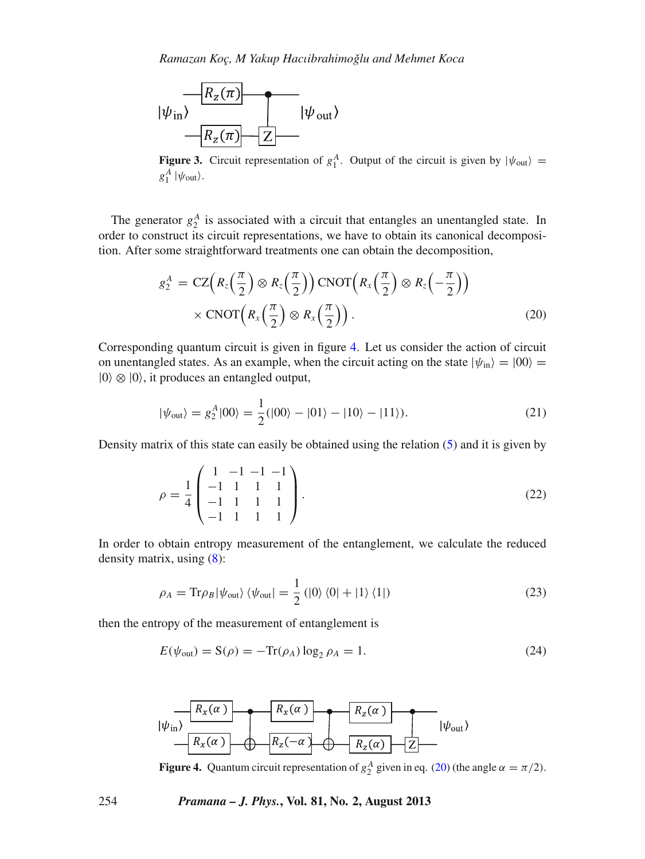<span id="page-7-0"></span>

**Figure 3.** Circuit representation of  $g_1^A$ . Output of the circuit is given by  $|\psi_{\text{out}}\rangle$  =  $g_1^A$  | $\psi_{\text{out}}$ }.

The generator  $g_2^A$  is associated with a circuit that entangles an unentangled state. In order to construct its circuit representations, we have to obtain its canonical decomposition. After some straightforward treatments one can obtain the decomposition,

<span id="page-7-2"></span>
$$
g_2^A = \text{CZ}\Big(R_z\Big(\frac{\pi}{2}\Big) \otimes R_z\Big(\frac{\pi}{2}\Big)\Big) \text{CNOT}\Big(R_x\Big(\frac{\pi}{2}\Big) \otimes R_z\Big(-\frac{\pi}{2}\Big)\Big) \times \text{CNOT}\Big(R_x\Big(\frac{\pi}{2}\Big) \otimes R_x\Big(\frac{\pi}{2}\Big)\Big).
$$
\n(20)

Corresponding quantum circuit is given in figure [4.](#page-7-1) Let us consider the action of circuit on unentangled states. As an example, when the circuit acting on the state  $|\psi_{in}\rangle = |00\rangle =$  $|0\rangle \otimes |0\rangle$ , it produces an entangled output,

$$
|\psi_{\text{out}}\rangle = g_2^A|00\rangle = \frac{1}{2}(|00\rangle - |01\rangle - |10\rangle - |11\rangle). \tag{21}
$$

Density matrix of this state can easily be obtained using the relation [\(5\)](#page-3-1) and it is given by

$$
\rho = \frac{1}{4} \begin{pmatrix} 1 & -1 & -1 & -1 \\ -1 & 1 & 1 & 1 \\ -1 & 1 & 1 & 1 \\ -1 & 1 & 1 & 1 \end{pmatrix} . \tag{22}
$$

In order to obtain entropy measurement of the entanglement, we calculate the reduced density matrix, using [\(8\)](#page-4-3):

$$
\rho_A = \text{Tr}\rho_B |\psi_{\text{out}}\rangle \langle \psi_{\text{out}}| = \frac{1}{2} (|0\rangle \langle 0| + |1\rangle \langle 1|)
$$
 (23)

then the entropy of the measurement of entanglement is

$$
E(\psi_{\text{out}}) = S(\rho) = -\text{Tr}(\rho_A) \log_2 \rho_A = 1. \tag{24}
$$

<span id="page-7-1"></span>

**Figure 4.** Quantum circuit representation of  $g_2^A$  given in eq. [\(20\)](#page-7-2) (the angle  $\alpha = \pi/2$ ).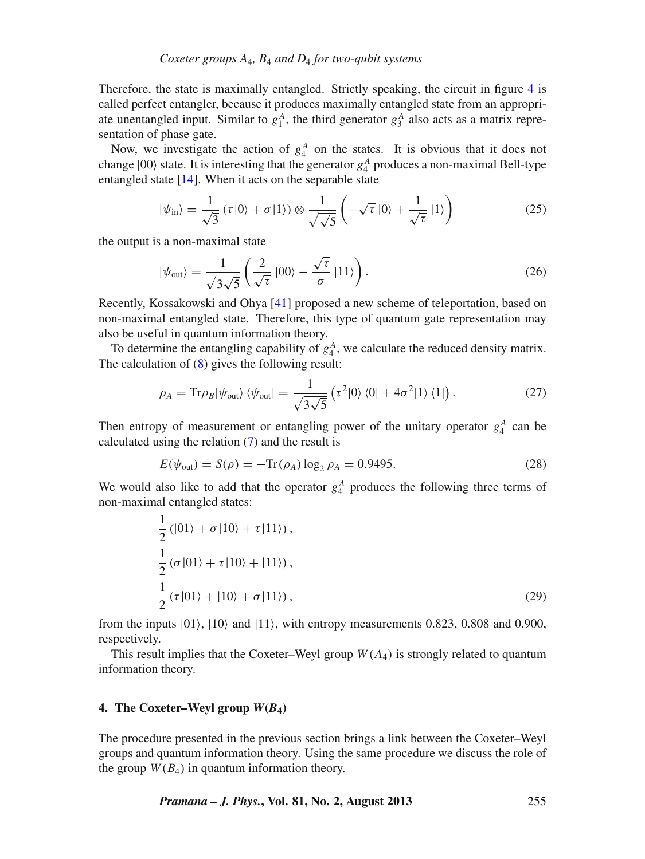Therefore, the state is maximally entangled. Strictly speaking, the circuit in figure [4](#page-7-1) is called perfect entangler, because it produces maximally entangled state from an appropriate unentangled input. Similar to  $g_1^A$ , the third generator  $g_3^A$  also acts as a matrix representation of phase gate.

Now, we investigate the action of  $g_4^A$  on the states. It is obvious that it does not change  $|00\rangle$  state. It is interesting that the generator  $g_4^A$  produces a non-maximal Bell-type entangled state [\[14](#page-12-11)]. When it acts on the separable state

$$
|\psi_{\rm in}\rangle = \frac{1}{\sqrt{3}}\left(\tau|0\rangle + \sigma|1\rangle\right) \otimes \frac{1}{\sqrt{\sqrt{5}}} \left(-\sqrt{\tau}|0\rangle + \frac{1}{\sqrt{\tau}}|1\rangle\right) \tag{25}
$$

the output is a non-maximal state

$$
|\psi_{\text{out}}\rangle = \frac{1}{\sqrt{3\sqrt{5}}} \left( \frac{2}{\sqrt{\tau}} |00\rangle - \frac{\sqrt{\tau}}{\sigma} |11\rangle \right). \tag{26}
$$

Recently, Kossakowski and Ohya [\[41](#page-13-17)] proposed a new scheme of teleportation, based on non-maximal entangled state. Therefore, this type of quantum gate representation may also be useful in quantum information theory.

To determine the entangling capability of  $g_4^A$ , we calculate the reduced density matrix. The calculation of [\(8\)](#page-4-3) gives the following result:

$$
\rho_A = \text{Tr}\rho_B |\psi_{\text{out}}\rangle \langle \psi_{\text{out}}| = \frac{1}{\sqrt{3\sqrt{5}}} \left( \tau^2 |0\rangle \langle 0| + 4\sigma^2 |1\rangle \langle 1| \right). \tag{27}
$$

Then entropy of measurement or entangling power of the unitary operator  $g_4^A$  can be calculated using the relation [\(7\)](#page-3-2) and the result is

$$
E(\psi_{\text{out}}) = S(\rho) = -\text{Tr}(\rho_A) \log_2 \rho_A = 0.9495. \tag{28}
$$

We would also like to add that the operator  $g_4^A$  produces the following three terms of non-maximal entangled states:

$$
\frac{1}{2} (|01\rangle + \sigma |10\rangle + \tau |11\rangle),
$$
  
\n
$$
\frac{1}{2} (\sigma |01\rangle + \tau |10\rangle + |11\rangle),
$$
  
\n
$$
\frac{1}{2} (\tau |01\rangle + |10\rangle + \sigma |11\rangle),
$$
\n(29)

from the inputs  $|01\rangle$ ,  $|10\rangle$  and  $|11\rangle$ , with entropy measurements 0.823, 0.808 and 0.900, respectively.

This result implies that the Coxeter–Weyl group  $W(A_4)$  is strongly related to quantum information theory.

## <span id="page-8-0"></span>**4.** The Coxeter–Weyl group  $W(B_4)$

The procedure presented in the previous section brings a link between the Coxeter–Weyl groups and quantum information theory. Using the same procedure we discuss the role of the group  $W(B_4)$  in quantum information theory.

*Pramana – J. Phys.***, Vol. 81, No. 2, August 2013** 255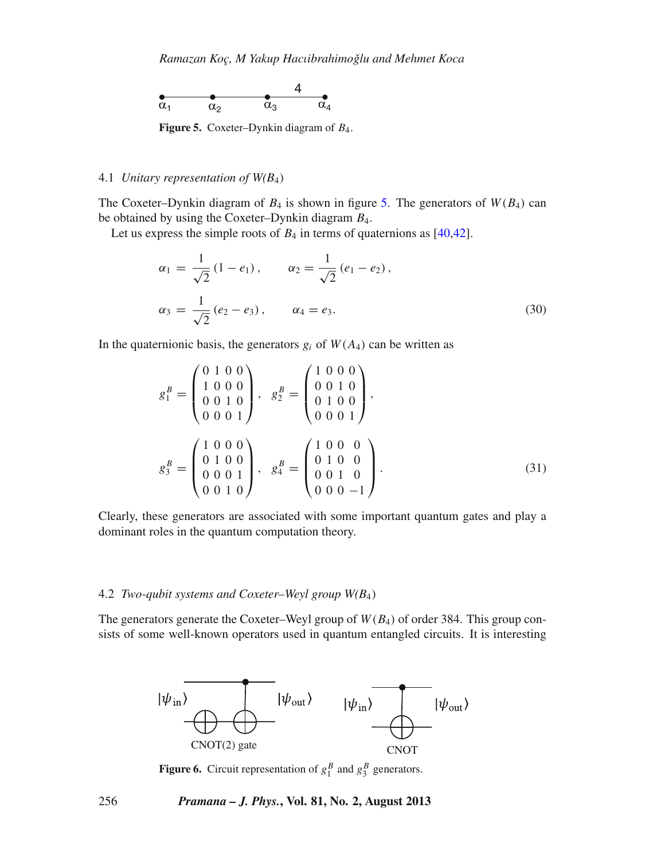<span id="page-9-0"></span>

**Figure 5.** Coxeter–Dynkin diagram of *B*4.

## 4.1 *Unitary representation of W(B*4)

The Coxeter–Dynkin diagram of  $B_4$  is shown in figure [5.](#page-9-0) The generators of  $W(B_4)$  can be obtained by using the Coxeter–Dynkin diagram *B*4.

Let us express the simple roots of  $B_4$  in terms of quaternions as [\[40](#page-13-15)[,42\]](#page-13-16).

$$
\alpha_1 = \frac{1}{\sqrt{2}} (1 - e_1), \qquad \alpha_2 = \frac{1}{\sqrt{2}} (e_1 - e_2),
$$
  

$$
\alpha_3 = \frac{1}{\sqrt{2}} (e_2 - e_3), \qquad \alpha_4 = e_3.
$$
 (30)

In the quaternionic basis, the generators  $g_i$  of  $W(A_4)$  can be written as

$$
g_1^B = \begin{pmatrix} 0 & 1 & 0 & 0 \\ 1 & 0 & 0 & 0 \\ 0 & 0 & 1 & 0 \\ 0 & 0 & 0 & 1 \end{pmatrix}, \quad g_2^B = \begin{pmatrix} 1 & 0 & 0 & 0 \\ 0 & 0 & 1 & 0 \\ 0 & 1 & 0 & 0 \\ 0 & 0 & 0 & 1 \end{pmatrix},
$$

$$
g_3^B = \begin{pmatrix} 1 & 0 & 0 & 0 \\ 0 & 1 & 0 & 0 \\ 0 & 0 & 0 & 1 \\ 0 & 0 & 1 & 0 \end{pmatrix}, \quad g_4^B = \begin{pmatrix} 1 & 0 & 0 & 0 \\ 0 & 1 & 0 & 0 \\ 0 & 0 & 1 & 0 \\ 0 & 0 & 0 & -1 \end{pmatrix}.
$$
(31)

Clearly, these generators are associated with some important quantum gates and play a dominant roles in the quantum computation theory.

#### 4.2 *Two-qubit systems and Coxeter–Weyl group W(B*4)

The generators generate the Coxeter–Weyl group of  $W(B_4)$  of order 384. This group consists of some well-known operators used in quantum entangled circuits. It is interesting

<span id="page-9-1"></span>

**Figure 6.** Circuit representation of  $g_1^B$  and  $g_3^B$  generators.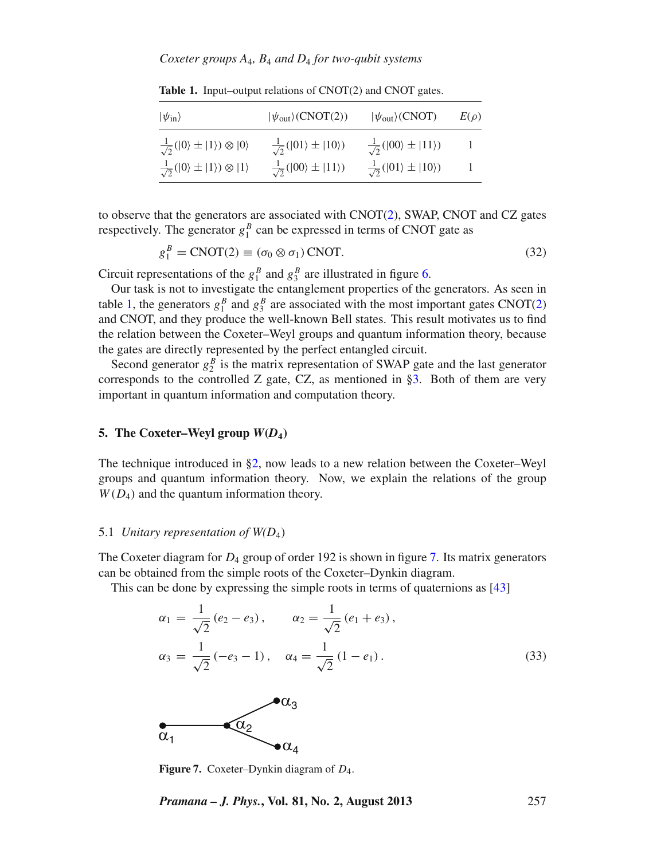## *Coxeter groups A*4*, B*<sup>4</sup> *and D*<sup>4</sup> *for two-qubit systems*

| $ \psi_{\rm in}\rangle$                                         | $ \psi_{\text{out}}\rangle(\text{CNOT}(2))$     | $ \psi_{\text{out}}\rangle$ (CNOT)              | $E(\rho)$ |
|-----------------------------------------------------------------|-------------------------------------------------|-------------------------------------------------|-----------|
| $\frac{1}{\sqrt{2}}( 0\rangle \pm  1\rangle) \otimes  0\rangle$ | $\frac{1}{\sqrt{2}}( 01\rangle \pm  10\rangle)$ | $\frac{1}{\sqrt{2}}( 00\rangle \pm  11\rangle)$ |           |
| $\frac{1}{\sqrt{2}}( 0\rangle \pm  1\rangle) \otimes  1\rangle$ | $\frac{1}{\sqrt{2}}( 00\rangle \pm  11\rangle)$ | $\frac{1}{\sqrt{2}}( 01\rangle \pm  10\rangle)$ |           |

<span id="page-10-1"></span>**Table 1.** Input–output relations of CNOT(2) and CNOT gates.

to observe that the generators are associated with  $CNOT(2)$  $CNOT(2)$ , SWAP, CNOT and CZ gates respectively. The generator  $g_1^B$  can be expressed in terms of CNOT gate as

$$
g_1^B = \text{CNOT}(2) \equiv (\sigma_0 \otimes \sigma_1) \text{CNOT}.
$$
 (32)

Circuit representations of the  $g_1^B$  and  $g_3^B$  are illustrated in figure [6.](#page-9-1)

Our task is not to investigate the entanglement properties of the generators. As seen in table [1,](#page-10-1) the generators  $g_1^B$  and  $g_3^B$  are associated with the most important gates CNOT[\(2\)](#page-2-2) and CNOT, and they produce the well-known Bell states. This result motivates us to find the relation between the Coxeter–Weyl groups and quantum information theory, because the gates are directly represented by the perfect entangled circuit.

Second generator  $g_2^B$  is the matrix representation of SWAP gate and the last generator corresponds to the controlled Z gate, CZ, as mentioned in [§3.](#page-4-0) Both of them are very important in quantum information and computation theory.

## <span id="page-10-0"></span>**5.** The Coxeter–Weyl group  $W(D_4)$

The technique introduced in [§2,](#page-1-0) now leads to a new relation between the Coxeter–Weyl groups and quantum information theory. Now, we explain the relations of the group  $W(D_4)$  and the quantum information theory.

#### 5.1 *Unitary representation of W(D*4)

The Coxeter diagram for *D*<sup>4</sup> group of order 192 is shown in figure [7.](#page-10-2) Its matrix generators can be obtained from the simple roots of the Coxeter–Dynkin diagram.

This can be done by expressing the simple roots in terms of quaternions as [\[43](#page-13-18)]

$$
\alpha_1 = \frac{1}{\sqrt{2}} (e_2 - e_3), \qquad \alpha_2 = \frac{1}{\sqrt{2}} (e_1 + e_3),
$$
  

$$
\alpha_3 = \frac{1}{\sqrt{2}} (-e_3 - 1), \quad \alpha_4 = \frac{1}{\sqrt{2}} (1 - e_1).
$$
 (33)

<span id="page-10-2"></span>

**Figure 7.** Coxeter–Dynkin diagram of *D*4.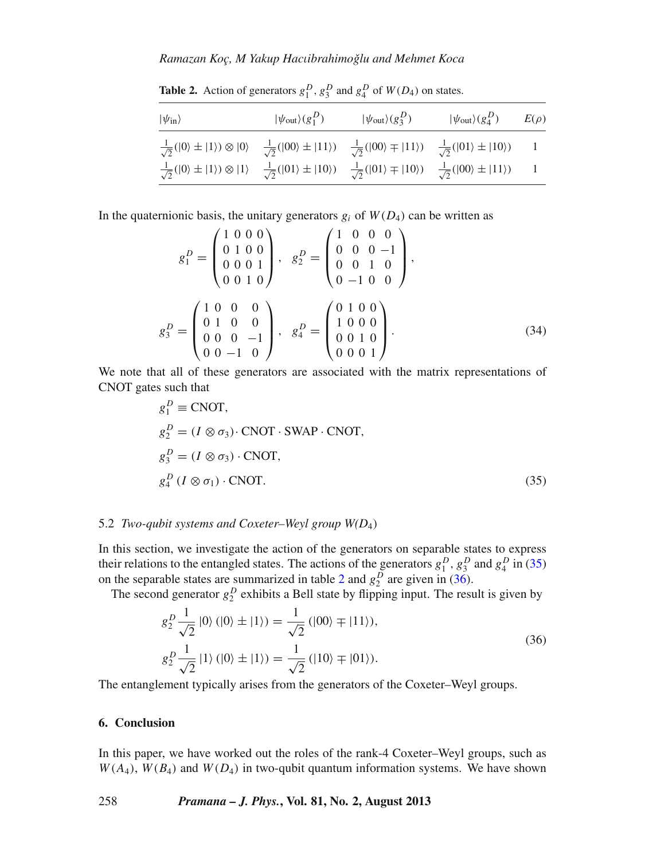## *Ramazan Koç, M Yakup Hac*ι*ibrahimoglu and Mehmet Koca ˇ*

<span id="page-11-2"></span>

| $ \psi_{\rm in}\rangle$                                                                                                                                                                                         | $ \psi_{\text{out}}\rangle(g_1^D)$ | $ \psi_{\text{out}}\rangle(g_3^D)$ | $ \psi_{\text{out}}\rangle(g_4^D)$ | $E(\rho)$ |
|-----------------------------------------------------------------------------------------------------------------------------------------------------------------------------------------------------------------|------------------------------------|------------------------------------|------------------------------------|-----------|
| $\frac{1}{\sqrt{2}}( 0\rangle \pm  1\rangle) \otimes  0\rangle$ $\frac{1}{\sqrt{2}}( 00\rangle \pm  11\rangle)$ $\frac{1}{\sqrt{2}}( 00\rangle \mp  11\rangle)$ $\frac{1}{\sqrt{2}}( 01\rangle \pm  10\rangle)$ |                                    |                                    |                                    |           |
| $\frac{1}{\sqrt{2}}( 0\rangle \pm  1\rangle) \otimes  1\rangle - \frac{1}{\sqrt{2}}( 01\rangle \pm  10\rangle) - \frac{1}{\sqrt{2}}( 01\rangle \mp  10\rangle) - \frac{1}{\sqrt{2}}( 00\rangle \pm  11\rangle)$ |                                    |                                    |                                    |           |

**Table 2.** Action of generators  $g_1^D$ ,  $g_3^D$  and  $g_4^D$  of  $W(D_4)$  on states.

In the quaternionic basis, the unitary generators  $g_i$  of  $W(D_4)$  can be written as

$$
g_1^D = \begin{pmatrix} 1 & 0 & 0 & 0 \\ 0 & 1 & 0 & 0 \\ 0 & 0 & 0 & 1 \\ 0 & 0 & 1 & 0 \end{pmatrix}, \quad g_2^D = \begin{pmatrix} 1 & 0 & 0 & 0 \\ 0 & 0 & 0 & -1 \\ 0 & 0 & 1 & 0 \\ 0 & -1 & 0 & 0 \end{pmatrix},
$$

$$
g_3^D = \begin{pmatrix} 1 & 0 & 0 & 0 \\ 0 & 1 & 0 & 0 \\ 0 & 0 & 0 & -1 \\ 0 & 0 & -1 & 0 \end{pmatrix}, \quad g_4^D = \begin{pmatrix} 0 & 1 & 0 & 0 \\ 1 & 0 & 0 & 0 \\ 0 & 0 & 1 & 0 \\ 0 & 0 & 0 & 1 \end{pmatrix}.
$$
(34)

We note that all of these generators are associated with the matrix representations of CNOT gates such that

<span id="page-11-1"></span>
$$
g_1^D \equiv \text{CNOT},
$$
  
\n
$$
g_2^D = (I \otimes \sigma_3) \cdot \text{CNOT} \cdot \text{SWAP} \cdot \text{CNOT},
$$
  
\n
$$
g_3^D = (I \otimes \sigma_3) \cdot \text{CNOT},
$$
  
\n
$$
g_4^D (I \otimes \sigma_1) \cdot \text{CNOT}.
$$
  
\n(35)

# 5.2 *Two-qubit systems and Coxeter–Weyl group W(D*4)

In this section, we investigate the action of the generators on separable states to express their relations to the entangled states. The actions of the generators  $g_1^D$ ,  $g_3^D$  and  $g_4^D$  in [\(35\)](#page-11-1) on the separable states are summarized in table [2](#page-11-2) and  $g_2^D$  are given in [\(36\)](#page-11-3).

The second generator  $g_2^D$  exhibits a Bell state by flipping input. The result is given by

<span id="page-11-3"></span>
$$
g_2^D \frac{1}{\sqrt{2}} |0\rangle (|0\rangle \pm |1\rangle) = \frac{1}{\sqrt{2}} (|00\rangle \mp |11\rangle),
$$
  
\n
$$
g_2^D \frac{1}{\sqrt{2}} |1\rangle (|0\rangle \pm |1\rangle) = \frac{1}{\sqrt{2}} (|10\rangle \mp |01\rangle).
$$
\n(36)

The entanglement typically arises from the generators of the Coxeter–Weyl groups.

# <span id="page-11-0"></span>**6. Conclusion**

In this paper, we have worked out the roles of the rank-4 Coxeter–Weyl groups, such as  $W(A_4)$ ,  $W(B_4)$  and  $W(D_4)$  in two-qubit quantum information systems. We have shown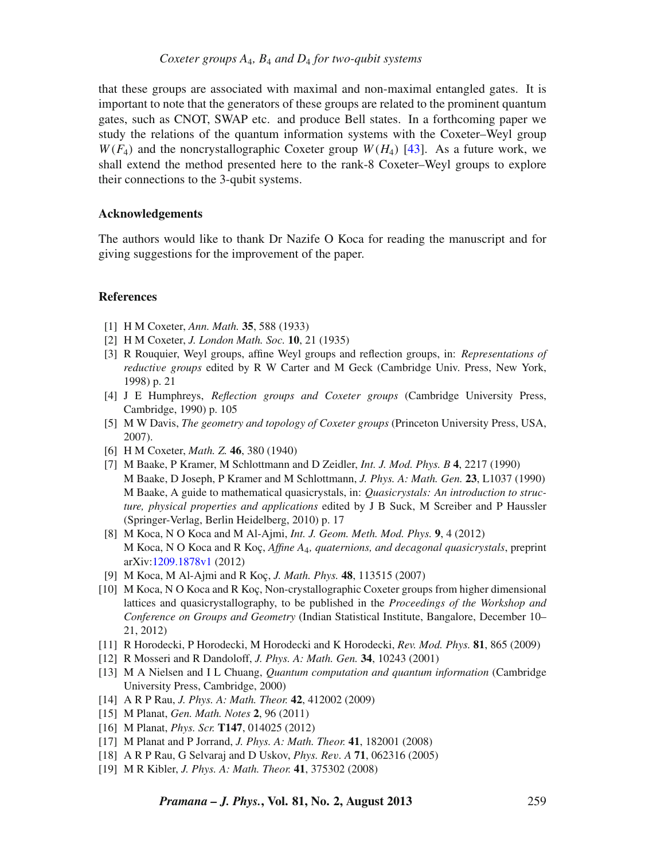that these groups are associated with maximal and non-maximal entangled gates. It is important to note that the generators of these groups are related to the prominent quantum gates, such as CNOT, SWAP etc. and produce Bell states. In a forthcoming paper we study the relations of the quantum information systems with the Coxeter–Weyl group  $W(F_4)$  and the noncrystallographic Coxeter group  $W(H_4)$  [\[43](#page-13-18)]. As a future work, we shall extend the method presented here to the rank-8 Coxeter–Weyl groups to explore their connections to the 3-qubit systems.

## **Acknowledgements**

The authors would like to thank Dr Nazife O Koca for reading the manuscript and for giving suggestions for the improvement of the paper.

## **References**

- <span id="page-12-0"></span>[1] H M Coxeter, *Ann. Math.* **35**, 588 (1933)
- <span id="page-12-1"></span>[2] H M Coxeter, *J. London Math. Soc.* **10**, 21 (1935)
- <span id="page-12-2"></span>[3] R Rouquier, Weyl groups, affine Weyl groups and reflection groups, in: *Representations of reducti*v*e groups* edited by R W Carter and M Geck (Cambridge Univ. Press, New York, 1998) p. 21
- [4] J E Humphreys, *Reflection groups and Coxeter groups* (Cambridge University Press, Cambridge, 1990) p. 105
- [5] M W Davis, *The geometry and topology of Coxeter groups* (Princeton University Press, USA, 2007).
- <span id="page-12-3"></span>[6] H M Coxeter, *Math. Z.* **46**, 380 (1940)
- <span id="page-12-5"></span>[7] M Baake, P Kramer, M Schlottmann and D Zeidler, *Int. J. Mod. Phys. B* **4**, 2217 (1990) M Baake, D Joseph, P Kramer and M Schlottmann, *J. Phys. A: Math. Gen.* **23**, L1037 (1990) M Baake, A guide to mathematical quasicrystals, in: *Quasicrystals: An introduction to structure, physical properties and applications* edited by J B Suck, M Screiber and P Haussler (Springer-Verlag, Berlin Heidelberg, 2010) p. 17
- <span id="page-12-10"></span>[8] M Koca, N O Koca and M Al-Ajmi, *Int. J. Geom. Meth. Mod. Phys.* **9**, 4 (2012) M Koca, N O Koca and R Koç, *Affine A*4*, quaternions, and decagonal quasicrystals*, preprint arXiv[:1209.1878v1](http://128.84.158.119/abs/1209.1878v1) (2012)
- <span id="page-12-4"></span>[9] M Koca, M Al-Ajmi and R Koç, *J. Math. Phys.* **48**, 113515 (2007)
- <span id="page-12-6"></span>[10] M Koca, N O Koca and R Koç, Non-crystallographic Coxeter groups from higher dimensional lattices and quasicrystallography, to be published in the *Proceedings of the Workshop and Conference on Groups and Geometry* (Indian Statistical Institute, Bangalore, December 10– 21, 2012)
- <span id="page-12-7"></span>[11] R Horodecki, P Horodecki, M Horodecki and K Horodecki, *Rev. Mod. Phys.* **81**, 865 (2009)
- <span id="page-12-8"></span>[12] R Mosseri and R Dandoloff, *J. Phys. A: Math. Gen.* **34**, 10243 (2001)
- <span id="page-12-9"></span>[13] M A Nielsen and I L Chuang, *Quantum computation and quantum information* (Cambridge University Press, Cambridge, 2000)
- <span id="page-12-11"></span>[14] A R P Rau, *J. Phys. A: Math. Theor.* **42**, 412002 (2009)
- [15] M Planat, *Gen. Math. Notes* **2**, 96 (2011)
- [16] M Planat, *Phys. Scr.* **T147**, 014025 (2012)
- [17] M Planat and P Jorrand, *J. Phys. A: Math. Theor.* **41**, 182001 (2008)
- [18] A R P Rau, G Selvaraj and D Uskov, *Phys. Re*v*. A* **71**, 062316 (2005)
- [19] M R Kibler, *J. Phys. A: Math. Theor.* **41**, 375302 (2008)